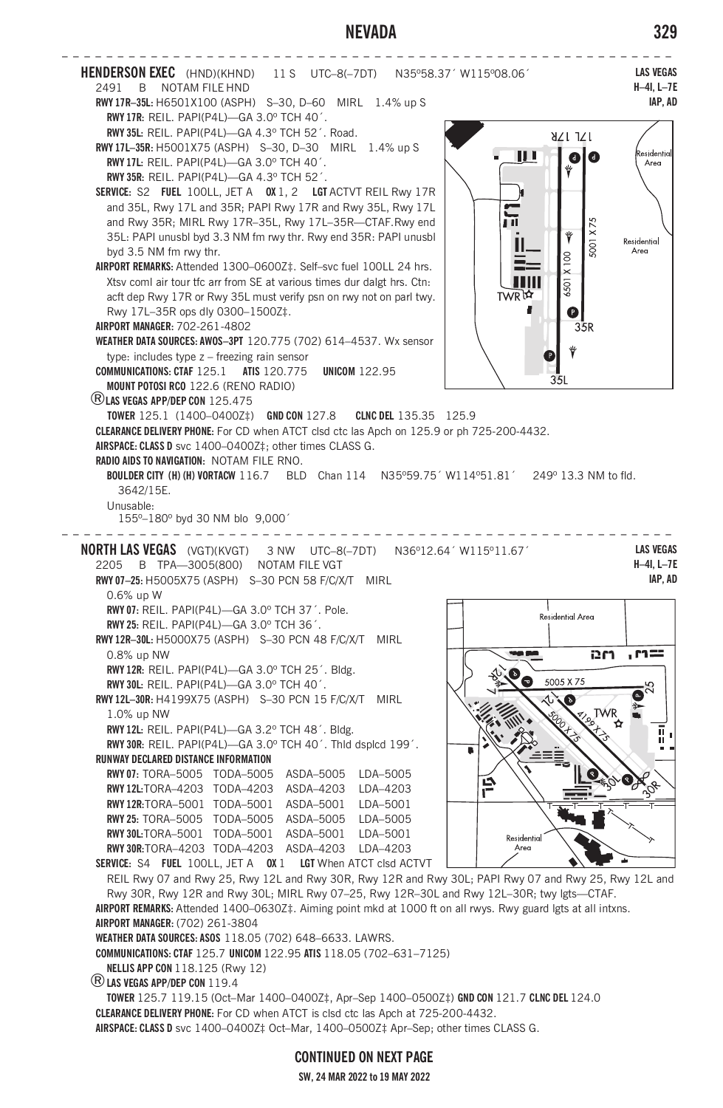## **NEVADA 329**



**AIRSPACE: CLASS D** svc 1400–0400Z‡ Oct–Mar, 1400–0500Z‡ Apr–Sep; other times CLASS G.

**CONTINUED ON NEXT PAGE**

**SW, 24 MAR 2022 to 19 MAY 2022**